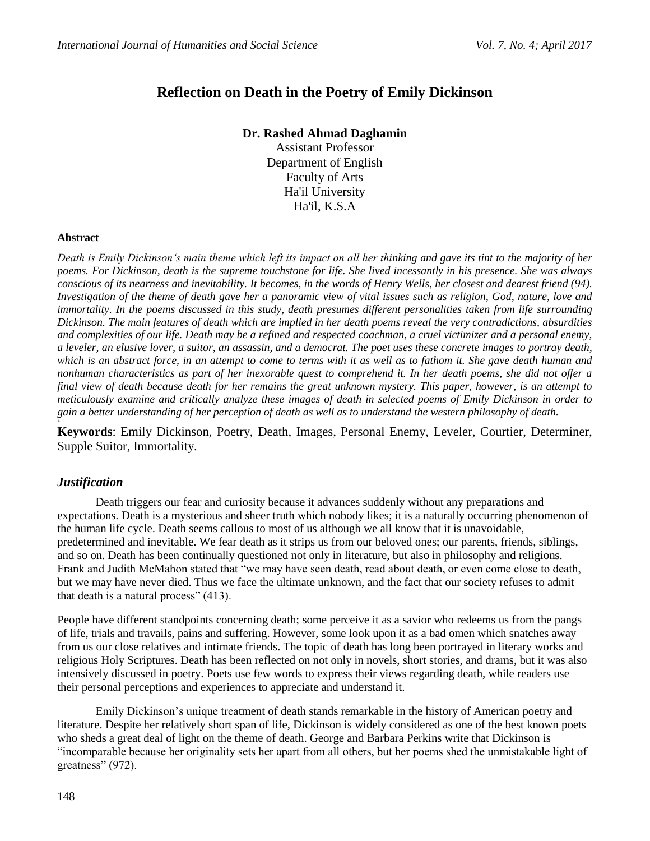# **Reflection on Death in the Poetry of Emily Dickinson**

## **Dr. Rashed Ahmad Daghamin**

Assistant Professor Department of English Faculty of Arts Ha'il University Ha'il, K.S.A

#### **Abstract**

*Death is Emily Dickinson's main theme which left its impact on all her thinking and gave its tint to the majority of her poems. For Dickinson, death is the supreme touchstone for life. She lived incessantly in his presence. She was always conscious of its nearness and inevitability. It becomes, in the words of Henry Wells, her closest and dearest friend (94). Investigation of the theme of death gave her a panoramic view of vital issues such as religion, God, nature, love and immortality. In the poems discussed in this study, death presumes different personalities taken from life surrounding Dickinson. The main features of death which are implied in her death poems reveal the very contradictions, absurdities and complexities of our life. Death may be a refined and respected coachman, a cruel victimizer and a personal enemy, a leveler, an elusive lover, a suitor, an assassin, and a democrat. The poet uses these concrete images to portray death, which is an abstract force, in an attempt to come to terms with it as well as to fathom it. She gave death human and nonhuman characteristics as part of her inexorable quest to comprehend it. In her death poems, she did not offer a final view of death because death for her remains the great unknown mystery. This paper, however, is an attempt to meticulously examine and critically analyze these images of death in selected poems of Emily Dickinson in order to gain a better understanding of her perception of death as well as to understand the western philosophy of death.* **+**

**Keywords**: Emily Dickinson, Poetry, Death, Images, Personal Enemy, Leveler, Courtier, Determiner, Supple Suitor, Immortality.

### *Justification*

Death triggers our fear and curiosity because it advances suddenly without any preparations and expectations. Death is a mysterious and sheer truth which nobody likes; it is a naturally occurring phenomenon of the human life cycle. Death seems callous to most of us although we all know that it is unavoidable, predetermined and inevitable. We fear death as it strips us from our beloved ones; our parents, friends, siblings, and so on. Death has been continually questioned not only in literature, but also in philosophy and religions. Frank and Judith McMahon stated that "we may have seen death, read about death, or even come close to death, but we may have never died. Thus we face the ultimate unknown, and the fact that our society refuses to admit that death is a natural process" (413).

People have different standpoints concerning death; some perceive it as a savior who redeems us from the pangs of life, trials and travails, pains and suffering. However, some look upon it as a bad omen which snatches away from us our close relatives and intimate friends. The topic of death has long been portrayed in literary works and religious Holy Scriptures. Death has been reflected on not only in novels, short stories, and drams, but it was also intensively discussed in poetry. Poets use few words to express their views regarding death, while readers use their personal perceptions and experiences to appreciate and understand it.

Emily Dickinson's unique treatment of death stands remarkable in the history of American poetry and literature. Despite her relatively short span of life, Dickinson is widely considered as one of the best known poets who sheds a great deal of light on the theme of death. George and Barbara Perkins write that Dickinson is "incomparable because her originality sets her apart from all others, but her poems shed the unmistakable light of greatness" (972).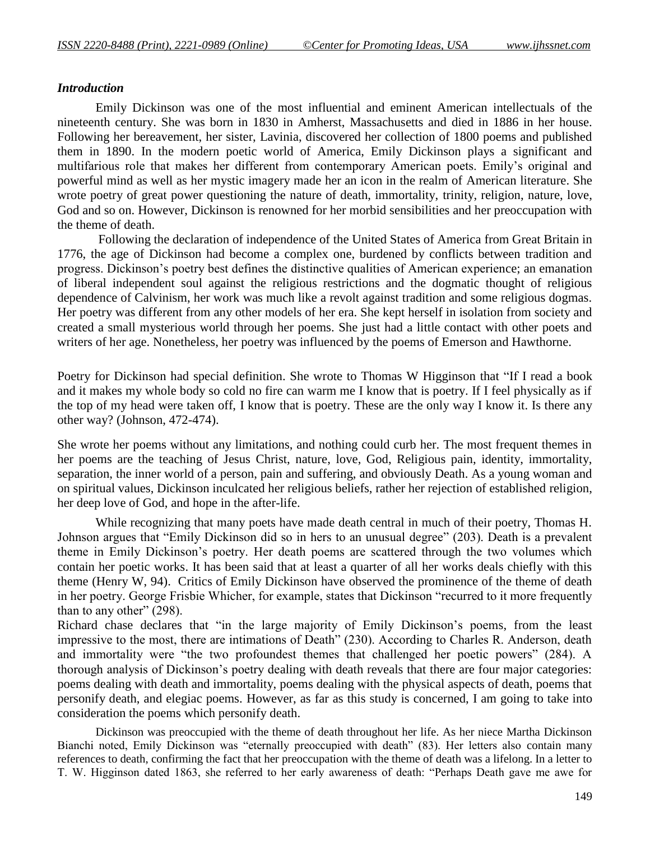## *Introduction*

Emily Dickinson was one of the most influential and eminent American intellectuals of the nineteenth century. She was born in 1830 in Amherst, Massachusetts and died in 1886 in her house. Following her bereavement, her sister, Lavinia, discovered her collection of 1800 poems and published them in 1890. In the modern poetic world of America, Emily Dickinson plays a significant and multifarious role that makes her different from contemporary American poets. Emily's original and powerful mind as well as her mystic imagery made her an icon in the realm of American literature. She wrote poetry of great power questioning the nature of death, immortality, trinity, religion, nature, love, God and so on. However, Dickinson is renowned for her morbid sensibilities and her preoccupation with the theme of death.

Following the declaration of independence of the United States of America from Great Britain in 1776, the age of Dickinson had become a complex one, burdened by conflicts between tradition and progress. Dickinson's poetry best defines the distinctive qualities of American experience; an emanation of liberal independent soul against the religious restrictions and the dogmatic thought of religious dependence of Calvinism, her work was much like a revolt against tradition and some religious dogmas. Her poetry was different from any other models of her era. She kept herself in isolation from society and created a small mysterious world through her poems. She just had a little contact with other poets and writers of her age. Nonetheless, her poetry was influenced by the poems of Emerson and Hawthorne.

Poetry for Dickinson had special definition. She wrote to Thomas W Higginson that "If I read a book and it makes my whole body so cold no fire can warm me I know that is poetry. If I feel physically as if the top of my head were taken off, I know that is poetry. These are the only way I know it. Is there any other way? (Johnson, 472-474).

She wrote her poems without any limitations, and nothing could curb her. The most frequent themes in her poems are the teaching of Jesus Christ, nature, love, God, Religious pain, identity, immortality, separation, the inner world of a person, pain and suffering, and obviously Death. As a young woman and on spiritual values, Dickinson inculcated her religious beliefs, rather her rejection of established religion, her deep love of God, and hope in the after-life.

While recognizing that many poets have made death central in much of their poetry, Thomas H. Johnson argues that "Emily Dickinson did so in hers to an unusual degree" (203). Death is a prevalent theme in Emily Dickinson's poetry. Her death poems are scattered through the two volumes which contain her poetic works. It has been said that at least a quarter of all her works deals chiefly with this theme (Henry W, 94). Critics of Emily Dickinson have observed the prominence of the theme of death in her poetry. George Frisbie Whicher, for example, states that Dickinson "recurred to it more frequently than to any other" (298).

Richard chase declares that "in the large majority of Emily Dickinson's poems, from the least impressive to the most, there are intimations of Death" (230). According to Charles R. Anderson, death and immortality were "the two profoundest themes that challenged her poetic powers" (284). A thorough analysis of Dickinson's poetry dealing with death reveals that there are four major categories: poems dealing with death and immortality, poems dealing with the physical aspects of death, poems that personify death, and elegiac poems. However, as far as this study is concerned, I am going to take into consideration the poems which personify death.

Dickinson was preoccupied with the theme of death throughout her life. As her niece Martha Dickinson Bianchi noted, Emily Dickinson was "eternally preoccupied with death" (83). Her letters also contain many references to death, confirming the fact that her preoccupation with the theme of death was a lifelong. In a letter to T. W. Higginson dated 1863, she referred to her early awareness of death: "Perhaps Death gave me awe for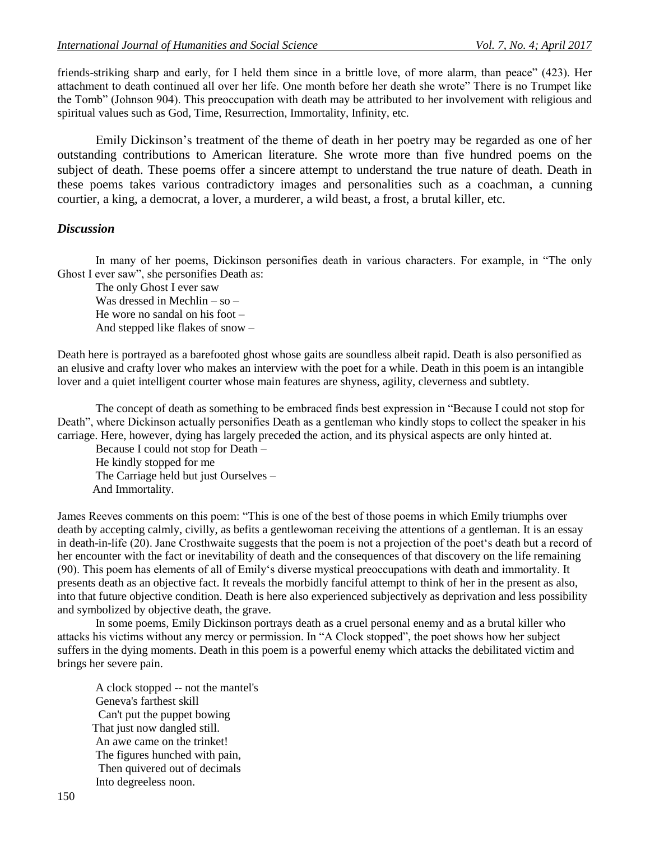friends-striking sharp and early, for I held them since in a brittle love, of more alarm, than peace" (423). Her attachment to death continued all over her life. One month before her death she wrote" There is no Trumpet like the Tomb" (Johnson 904). This preoccupation with death may be attributed to her involvement with religious and spiritual values such as God, Time, Resurrection, Immortality, Infinity, etc.

Emily Dickinson's treatment of the theme of death in her poetry may be regarded as one of her outstanding contributions to American literature. She wrote more than five hundred poems on the subject of death. These poems offer a sincere attempt to understand the true nature of death. Death in these poems takes various contradictory images and personalities such as a coachman, a cunning courtier, a king, a democrat, a lover, a murderer, a wild beast, a frost, a brutal killer, etc.

#### *Discussion*

In many of her poems, Dickinson personifies death in various characters. For example, in "The only Ghost I ever saw", she personifies Death as:

The only Ghost I ever saw Was dressed in Mechlin – so – He wore no sandal on his foot – And stepped like flakes of snow –

Death here is portrayed as a barefooted ghost whose gaits are soundless albeit rapid. Death is also personified as an elusive and crafty lover who makes an interview with the poet for a while. Death in this poem is an intangible lover and a quiet intelligent courter whose main features are shyness, agility, cleverness and subtlety.

The concept of death as something to be embraced finds best expression in "Because I could not stop for Death", where Dickinson actually personifies Death as a gentleman who kindly stops to collect the speaker in his carriage. Here, however, dying has largely preceded the action, and its physical aspects are only hinted at.

Because I could not stop for Death – He kindly stopped for me The Carriage held but just Ourselves – And Immortality.

James Reeves comments on this poem: "This is one of the best of those poems in which Emily triumphs over death by accepting calmly, civilly, as befits a gentlewoman receiving the attentions of a gentleman. It is an essay in death-in-life (20). Jane Crosthwaite suggests that the poem is not a projection of the poet's death but a record of her encounter with the fact or inevitability of death and the consequences of that discovery on the life remaining (90). This poem has elements of all of Emily's diverse mystical preoccupations with death and immortality. It presents death as an objective fact. It reveals the morbidly fanciful attempt to think of her in the present as also, into that future objective condition. Death is here also experienced subjectively as deprivation and less possibility and symbolized by objective death, the grave.

In some poems, Emily Dickinson portrays death as a cruel personal enemy and as a brutal killer who attacks his victims without any mercy or permission. In "A Clock stopped", the poet shows how her subject suffers in the dying moments. Death in this poem is a powerful enemy which attacks the debilitated victim and brings her severe pain.

A clock stopped -- not the mantel's Geneva's farthest skill Can't put the puppet bowing That just now dangled still. An awe came on the trinket! The figures hunched with pain, Then quivered out of decimals Into degreeless noon.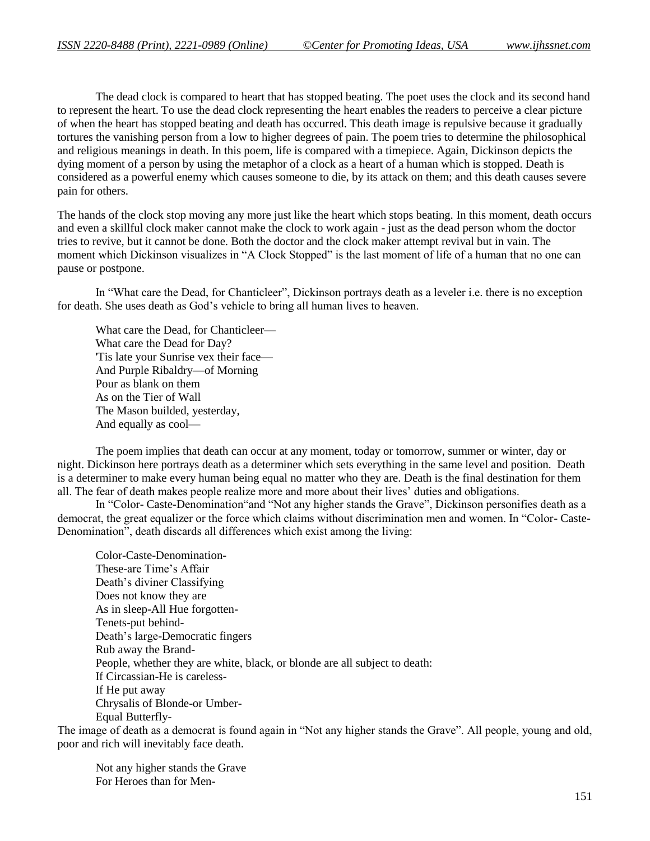The dead clock is compared to heart that has stopped beating. The poet uses the clock and its second hand to represent the heart. To use the dead clock representing the heart enables the readers to perceive a clear picture of when the heart has stopped beating and death has occurred. This death image is repulsive because it gradually tortures the vanishing person from a low to higher degrees of pain. The poem tries to determine the philosophical and religious meanings in death. In this poem, life is compared with a timepiece. Again, Dickinson depicts the dying moment of a person by using the metaphor of a clock as a heart of a human which is stopped. Death is considered as a powerful enemy which causes someone to die, by its attack on them; and this death causes severe pain for others.

The hands of the clock stop moving any more just like the heart which stops beating. In this moment, death occurs and even a skillful clock maker cannot make the clock to work again - just as the dead person whom the doctor tries to revive, but it cannot be done. Both the doctor and the clock maker attempt revival but in vain. The moment which Dickinson visualizes in "A Clock Stopped" is the last moment of life of a human that no one can pause or postpone.

In "What care the Dead, for Chanticleer", Dickinson portrays death as a leveler i.e. there is no exception for death. She uses death as God's vehicle to bring all human lives to heaven.

What care the Dead, for Chanticleer— What care the Dead for Day? 'Tis late your Sunrise vex their face— And Purple Ribaldry—of Morning Pour as blank on them As on the Tier of Wall The Mason builded, yesterday, And equally as cool—

The poem implies that death can occur at any moment, today or tomorrow, summer or winter, day or night. Dickinson here portrays death as a determiner which sets everything in the same level and position. Death is a determiner to make every human being equal no matter who they are. Death is the final destination for them all. The fear of death makes people realize more and more about their lives' duties and obligations.

In "Color- Caste-Denomination"and "Not any higher stands the Grave", Dickinson personifies death as a democrat, the great equalizer or the force which claims without discrimination men and women. In "Color- Caste-Denomination", death discards all differences which exist among the living:

Color-Caste-Denomination-These-are Time's Affair Death's diviner Classifying Does not know they are As in sleep-All Hue forgotten-Tenets-put behind-Death's large-Democratic fingers Rub away the Brand-People, whether they are white, black, or blonde are all subject to death: If Circassian-He is careless-If He put away Chrysalis of Blonde-or Umber-Equal Butterfly-

The image of death as a democrat is found again in "Not any higher stands the Grave". All people, young and old, poor and rich will inevitably face death.

Not any higher stands the Grave For Heroes than for Men-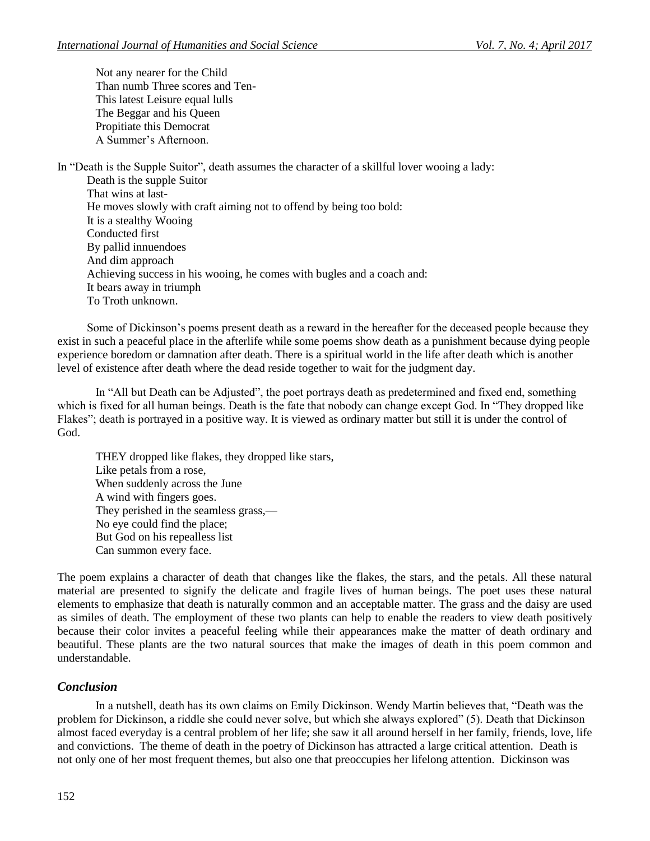Not any nearer for the Child Than numb Three scores and Ten-This latest Leisure equal lulls The Beggar and his Queen Propitiate this Democrat A Summer's Afternoon.

In "Death is the Supple Suitor", death assumes the character of a skillful lover wooing a lady:

Death is the supple Suitor That wins at last-He moves slowly with craft aiming not to offend by being too bold: It is a stealthy Wooing Conducted first By pallid innuendoes And dim approach Achieving success in his wooing, he comes with bugles and a coach and: It bears away in triumph To Troth unknown.

Some of Dickinson's poems present death as a reward in the hereafter for the deceased people because they exist in such a peaceful place in the afterlife while some poems show death as a punishment because dying people experience boredom or damnation after death. There is a spiritual world in the life after death which is another level of existence after death where the dead reside together to wait for the judgment day.

In "All but Death can be Adjusted", the poet portrays death as predetermined and fixed end, something which is fixed for all human beings. Death is the fate that nobody can change except God. In "They dropped like Flakes"; death is portrayed in a positive way. It is viewed as ordinary matter but still it is under the control of God.

THEY dropped like flakes, they dropped like stars, Like petals from a rose, When suddenly across the June A wind with fingers goes. They perished in the seamless grass,— No eye could find the place; But God on his repealless list Can summon every face.

The poem explains a character of death that changes like the flakes, the stars, and the petals. All these natural material are presented to signify the delicate and fragile lives of human beings. The poet uses these natural elements to emphasize that death is naturally common and an acceptable matter. The grass and the daisy are used as similes of death. The employment of these two plants can help to enable the readers to view death positively because their color invites a peaceful feeling while their appearances make the matter of death ordinary and beautiful. These plants are the two natural sources that make the images of death in this poem common and understandable.

## *Conclusion*

In a nutshell, death has its own claims on Emily Dickinson. Wendy Martin believes that, "Death was the problem for Dickinson, a riddle she could never solve, but which she always explored" (5). Death that Dickinson almost faced everyday is a central problem of her life; she saw it all around herself in her family, friends, love, life and convictions. The theme of death in the poetry of Dickinson has attracted a large critical attention. Death is not only one of her most frequent themes, but also one that preoccupies her lifelong attention. Dickinson was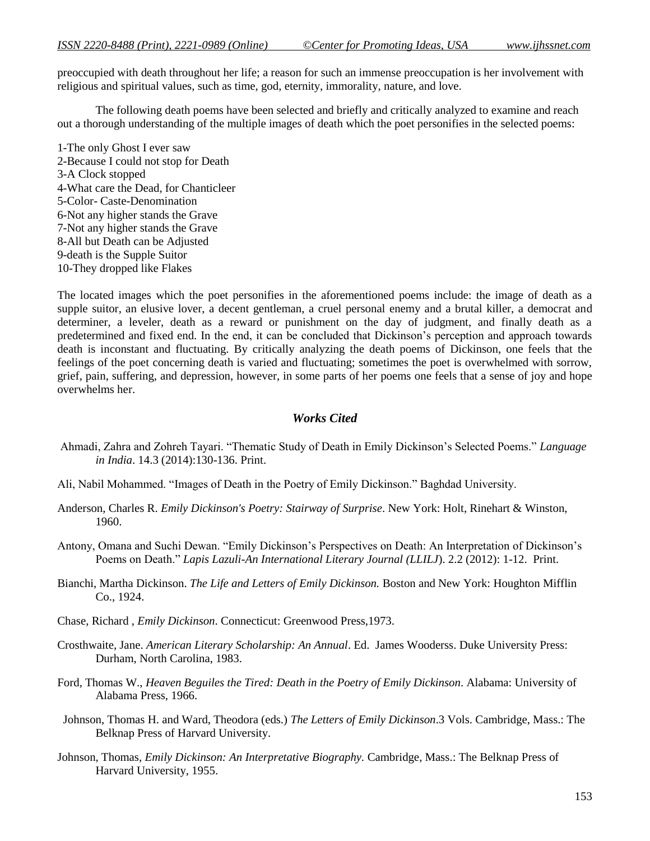preoccupied with death throughout her life; a reason for such an immense preoccupation is her involvement with religious and spiritual values, such as time, god, eternity, immorality, nature, and love.

The following death poems have been selected and briefly and critically analyzed to examine and reach out a thorough understanding of the multiple images of death which the poet personifies in the selected poems:

1-The only Ghost I ever saw 2-Because I could not stop for Death 3-A Clock stopped 4-What care the Dead, for Chanticleer 5-Color- Caste-Denomination 6-Not any higher stands the Grave 7-Not any higher stands the Grave 8-All but Death can be Adjusted 9-death is the Supple Suitor 10-They dropped like Flakes

The located images which the poet personifies in the aforementioned poems include: the image of death as a supple suitor, an elusive lover, a decent gentleman, a cruel personal enemy and a brutal killer, a democrat and determiner, a leveler, death as a reward or punishment on the day of judgment, and finally death as a predetermined and fixed end. In the end, it can be concluded that Dickinson's perception and approach towards death is inconstant and fluctuating. By critically analyzing the death poems of Dickinson, one feels that the feelings of the poet concerning death is varied and fluctuating; sometimes the poet is overwhelmed with sorrow, grief, pain, suffering, and depression, however, in some parts of her poems one feels that a sense of joy and hope overwhelms her.

### *Works Cited*

- Ahmadi, Zahra and Zohreh Tayari. "Thematic Study of Death in Emily Dickinson's Selected Poems." *Language in India*. 14.3 (2014):130-136. Print.
- Ali, Nabil Mohammed. "Images of Death in the Poetry of Emily Dickinson." Baghdad University.
- Anderson, Charles R. *Emily Dickinson's Poetry: Stairway of Surprise*. New York: Holt, Rinehart & Winston, 1960.
- Antony, Omana and Suchi Dewan. "Emily Dickinson's Perspectives on Death: An Interpretation of Dickinson's Poems on Death." *Lapis Lazuli-An International Literary Journal (LLILJ*). 2.2 (2012): 1-12. Print.
- Bianchi, Martha Dickinson. *The Life and Letters of Emily Dickinson.* Boston and New York: Houghton Mifflin Co., 1924.
- Chase, Richard , *Emily Dickinson*. Connecticut: Greenwood Press,1973.
- Crosthwaite, Jane. *American Literary Scholarship: An Annual*. Ed. James Wooderss. Duke University Press: Durham, North Carolina, 1983.
- Ford, Thomas W., *Heaven Beguiles the Tired: Death in the Poetry of Emily Dickinson*. Alabama: University of Alabama Press, 1966.
- Johnson, Thomas H. and Ward, Theodora (eds.) *The Letters of Emily Dickinson*.3 Vols. Cambridge, Mass.: The Belknap Press of Harvard University.
- Johnson, Thomas, *Emily Dickinson: An Interpretative Biography.* Cambridge, Mass.: The Belknap Press of Harvard University, 1955.